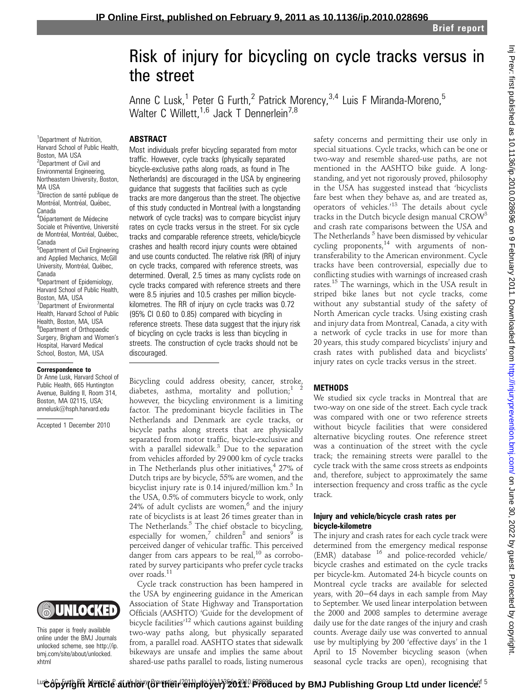# Inj Prev: first published as 10.1136/ip.2010.028696 on 9 February 2011. Downloaded from http://injuryprevention.bmj.com/ on June 30, 2022 by guest. Protected by copyright on June 30, 2022 by guest. Protected by copyright. <http://injuryprevention.bmj.com/> Inj Prev: first published as 10.1136/ip.2010.028696 on 9 February 2011. Downloaded from

# Risk of injury for bicycling on cycle tracks versus in the street

Anne C Lusk,<sup>1</sup> Peter G Furth,<sup>2</sup> Patrick Morency,<sup>3,4</sup> Luis F Miranda-Moreno,<sup>5</sup> Walter C Willett,<sup>1,6</sup> Jack T Dennerlein<sup>7,8</sup>

### **ABSTRACT**

<sup>1</sup>Department of Nutrition, Harvard School of Public Health, Boston, MA USA <sup>2</sup>Department of Civil and Environmental Engineering, Northeastern University, Boston, MA USA <sup>3</sup>Direction de santé publique de Montréal, Montréal, Québec, Canada <sup>4</sup>Département de Médecine Sociale et Préventive, Université de Montréal, Montréal, Québec, Canada <sup>5</sup>Department of Civil Engineering

and Applied Mechanics, McGill University, Montréal, Québec, Canada 6 Department of Epidemiology,

Harvard School of Public Health, Boston, MA, USA <sup>7</sup>Department of Environmental Health, Harvard School of Public Health, Boston, MA, USA <sup>8</sup>Department of Orthopaedic Surgery, Brigham and Women's Hospital, Harvard Medical School, Boston, MA, USA

### Correspondence to

Dr Anne Lusk, Harvard School of Public Health, 665 Huntington Avenue, Building II, Room 314, Boston, MA 02115, USA; annelusk@hsph.harvard.edu

Accepted 1 December 2010



This paper is freely available online under the BMJ Journals unlocked scheme, see http://ip. bmj.com/site/about/unlocked. xhtml

Most individuals prefer bicycling separated from motor traffic. However, cycle tracks (physically separated bicycle-exclusive paths along roads, as found in The Netherlands) are discouraged in the USA by engineering guidance that suggests that facilities such as cycle tracks are more dangerous than the street. The objective of this study conducted in Montreal (with a longstanding network of cycle tracks) was to compare bicyclist injury rates on cycle tracks versus in the street. For six cycle tracks and comparable reference streets, vehicle/bicycle crashes and health record injury counts were obtained and use counts conducted. The relative risk (RR) of injury on cycle tracks, compared with reference streets, was determined. Overall, 2.5 times as many cyclists rode on cycle tracks compared with reference streets and there were 8.5 injuries and 10.5 crashes per million bicyclekilometres. The RR of injury on cycle tracks was 0.72 (95% CI 0.60 to 0.85) compared with bicycling in reference streets. These data suggest that the injury risk of bicycling on cycle tracks is less than bicycling in streets. The construction of cycle tracks should not be discouraged.

Bicycling could address obesity, cancer, stroke, diabetes, asthma, mortality and pollution;<sup>1</sup> however, the bicycling environment is a limiting factor. The predominant bicycle facilities in The Netherlands and Denmark are cycle tracks, or bicycle paths along streets that are physically separated from motor traffic, bicycle-exclusive and with a parallel sidewalk. $3$  Due to the separation from vehicles afforded by 29 000 km of cycle tracks in The Netherlands plus other initiatives,  $427\%$  of Dutch trips are by bicycle, 55% are women, and the bicyclist injury rate is  $0.14$  injured/million  $km<sup>5</sup>$  In the USA, 0.5% of commuters bicycle to work, only 24% of adult cyclists are women, $^6$  and the injury rate of bicyclists is at least 26 times greater than in The Netherlands.<sup>5</sup> The chief obstacle to bicycling, especially for women,<sup>7</sup> children<sup>8</sup> and seniors<sup>9</sup> is perceived danger of vehicular traffic. This perceived danger from cars appears to be real, $^{10}$  as corroborated by survey participants who prefer cycle tracks over roads.<sup>11</sup>

Cycle track construction has been hampered in the USA by engineering guidance in the American Association of State Highway and Transportation Officials (AASHTO) 'Guide for the development of bicycle facilities<sup>'12</sup> which cautions against building two-way paths along, but physically separated from, a parallel road. AASHTO states that sidewalk bikeways are unsafe and implies the same about shared-use paths parallel to roads, listing numerous

safety concerns and permitting their use only in special situations. Cycle tracks, which can be one or two-way and resemble shared-use paths, are not mentioned in the AASHTO bike guide. A longstanding, and yet not rigorously proved, philosophy in the USA has suggested instead that 'bicyclists fare best when they behave as, and are treated as, operators of vehicles.<sup>13</sup> The details about cycle tracks in the Dutch bicycle design manual CROW<sup>3</sup> and crash rate comparisons between the USA and The Netherlands<sup>5</sup> have been dismissed by vehicular cycling proponents, $14$  with arguments of nontransferability to the American environment. Cycle tracks have been controversial, especially due to conflicting studies with warnings of increased crash rates.15 The warnings, which in the USA result in striped bike lanes but not cycle tracks, come without any substantial study of the safety of North American cycle tracks. Using existing crash and injury data from Montreal, Canada, a city with a network of cycle tracks in use for more than 20 years, this study compared bicyclists' injury and crash rates with published data and bicyclists' injury rates on cycle tracks versus in the street.

### **METHODS**

We studied six cycle tracks in Montreal that are two-way on one side of the street. Each cycle track was compared with one or two reference streets without bicycle facilities that were considered alternative bicycling routes. One reference street was a continuation of the street with the cycle track; the remaining streets were parallel to the cycle track with the same cross streets as endpoints and, therefore, subject to approximately the same intersection frequency and cross traffic as the cycle track.

### Injury and vehicle/bicycle crash rates per bicycle-kilometre

The injury and crash rates for each cycle track were determined from the emergency medical response (EMR) database <sup>16</sup> and police-recorded vehicle/ bicycle crashes and estimated on the cycle tracks per bicycle-km. Automated 24-h bicycle counts on Montreal cycle tracks are available for selected years, with 20-64 days in each sample from May to September. We used linear interpolation between the 2000 and 2008 samples to determine average daily use for the date ranges of the injury and crash counts. Average daily use was converted to annual use by multiplying by 200 'effective days' in the 1 April to 15 November bicycling season (when seasonal cycle tracks are open), recognising that

<sup>Lu</sup>Cop∲right Article author (or their 2Hployer) 2014. Produced by BMJ Publishing Group Ltd under licenc<sup>ie 5</sup>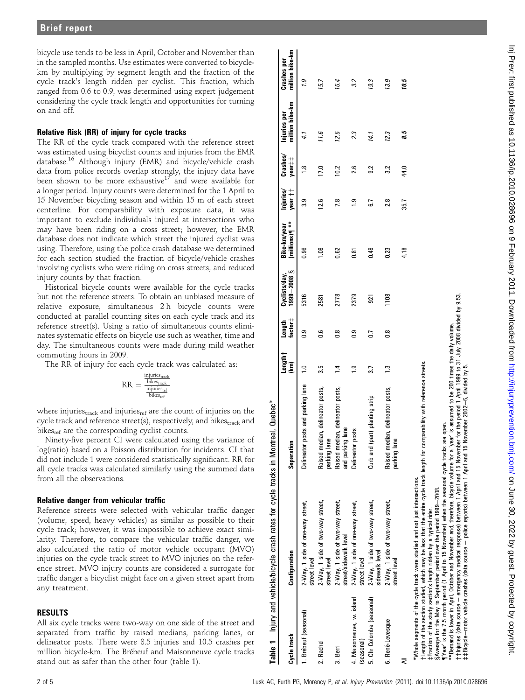bicycle use tends to be less in April, October and November than in the sampled months. Use estimates were converted to bicyclekm by multiplying by segment length and the fraction of the cycle track's length ridden per cyclist. This fraction, which ranged from 0.6 to 0.9, was determined using expert judgement considering the cycle track length and opportunities for turning on and off.

### Relative Risk (RR) of injury for cycle tracks

The RR of the cycle track compared with the reference street was estimated using bicyclist counts and injuries from the EMR database.<sup>16</sup> Although injury (EMR) and bicycle/vehicle crash data from police records overlap strongly, the injury data have been shown to be more exhaustive<sup>17</sup> and were available for a longer period. Injury counts were determined for the 1 April to 15 November bicycling season and within 15 m of each street centerline. For comparability with exposure data, it was important to exclude individuals injured at intersections who may have been riding on a cross street; however, the EMR database does not indicate which street the injured cyclist was using. Therefore, using the police crash database we determined for each section studied the fraction of bicycle/vehicle crashes involving cyclists who were riding on cross streets, and reduced injury counts by that fraction.

Historical bicycle counts were available for the cycle tracks but not the reference streets. To obtain an unbiased measure of relative exposure, simultaneous 2 h bicycle counts were conducted at parallel counting sites on each cycle track and its reference street(s). Using a ratio of simultaneous counts eliminates systematic effects on bicycle use such as weather, time and day. The simultaneous counts were made during mild weather commuting hours in 2009.

The RR of injury for each cycle track was calculated as:

$$
RR = \frac{\frac{injuries_{track}}{bike_{track}}}{\frac{injuries_{ref}}{bike_{ref}}}
$$

where injuries<sub>track</sub> and injuries<sub>ref</sub> are the count of injuries on the cycle track and reference street(s), respectively, and bikestrack and bikes<sub>ref</sub> are the corresponding cyclist counts.

Ninety-five percent CI were calculated using the variance of log(ratio) based on a Poisson distribution for incidents. CI that did not include 1 were considered statistically significant. RR for all cycle tracks was calculated similarly using the summed data from all the observations.

### Relative danger from vehicular traffic

Reference streets were selected with vehicular traffic danger (volume, speed, heavy vehicles) as similar as possible to their cycle track; however, it was impossible to achieve exact similarity. Therefore, to compare the vehicular traffic danger, we also calculated the ratio of motor vehicle occupant (MVO) injuries on the cycle track street to MVO injuries on the reference street. MVO injury counts are considered a surrogate for traffic danger a bicyclist might face on a given street apart from any treatment.

### RESULTS

All six cycle tracks were two-way on one side of the street and separated from traffic by raised medians, parking lanes, or delineator posts. There were 8.5 injuries and 10.5 crashes per million bicycle-km. The Brébeuf and Maisonneuve cycle tracks stand out as safer than the other four (table 1).

|                                         | Table 1 Injury and vehicle/bicycle crash rates for cycle tracks in Montreal, Quebec*                                                                                                                                                                                                                                                                                                                                                                  |                                                      |                             |                   |                                |                               |                      |                               |                                 |                                       |
|-----------------------------------------|-------------------------------------------------------------------------------------------------------------------------------------------------------------------------------------------------------------------------------------------------------------------------------------------------------------------------------------------------------------------------------------------------------------------------------------------------------|------------------------------------------------------|-----------------------------|-------------------|--------------------------------|-------------------------------|----------------------|-------------------------------|---------------------------------|---------------------------------------|
| Cycle track                             | Configuration                                                                                                                                                                                                                                                                                                                                                                                                                                         | Separation                                           | $L$ ength $\dagger$<br>(km) | factor‡<br>Length | $8002 - 6661$<br>Cyclists/day, | millions)¶ **<br>Bike-km/year | year ††<br>Injuries/ | $\mathsf{Crashes}/$<br>year‡‡ | million bike-km<br>Injuries per | million bike-km<br><b>Crashes</b> per |
| 1. Brébeuf (seasonal)                   | 2-Way, 1 side of one-way street,<br>street level                                                                                                                                                                                                                                                                                                                                                                                                      | posts and parking lane<br>Delineator                 | $\bar{c}$                   | င္ပ်              | 5316                           | 0.96                          | ్లె                  | œ                             |                                 | <b>P.I</b>                            |
| 2. Rachel                               | 2-Way, 1 side of two-way street,<br>street level                                                                                                                                                                                                                                                                                                                                                                                                      | Raised median, delineator posts,<br>parking lane     | 3.5                         | 9.0               | 2581                           | 8Ö                            | 12.6                 | 17.0                          | 11.6                            | 15.7                                  |
| 3. Berri                                | 2-Way, 1 side of two-way street,<br>street/sidewalk level                                                                                                                                                                                                                                                                                                                                                                                             | Raised median, delineator posts,<br>and parking lane | $\bar{4}$                   | 8.o               | 2778                           | 0.62                          | 7.8                  | $\overline{0.2}$              | 12.5                            | 16.4                                  |
| 4. Maisonneuve, w. island<br>(seasonal) | 2-Way, 1 side of one-way street,<br>street level                                                                                                                                                                                                                                                                                                                                                                                                      | posts<br>Delineator                                  | <u>ာ</u>                    | 0.9               | 2379                           | 0.81                          | °_                   | 2.6                           | 23                              | 3.2                                   |
| 5. Chr Colombe (seasonal)               | 2-Way, 1 side of two-way street,<br>sidewalk level                                                                                                                                                                                                                                                                                                                                                                                                    | (part) planting strip<br>Curb and                    | 3.7                         | G                 | ទ្ធា                           | 0.48                          | 5.7                  | $\overline{9}$                | 14.1                            | 19.3                                  |
| 6. René-Levesque                        | 2-Way, 1 side of two-way street,<br>street level                                                                                                                                                                                                                                                                                                                                                                                                      | Raised median, delineator posts,<br>parking lane     | <b>ئ</b> ـ:                 | 8.o               | 1108                           | 0.23                          | 28                   | 3.2                           | 12.3                            | 13.9                                  |
|                                         |                                                                                                                                                                                                                                                                                                                                                                                                                                                       |                                                      |                             |                   |                                | 4.18                          | 35.7                 | 44.0                          | 85                              | 10.5                                  |
|                                         | t length of the section studied, which may be less that the entire cycle track length for comparability with reference streets.<br>"Year' is the 7.5 month period (1 April to 15 November) when the seasonal cycle tracks<br>*Whole segments of the cycle track were studied and not just intersections.<br>SAverage for the May to September period over the period 1999-2008.<br>‡Fraction of the study section's length ridden by a typical rider. | are open.                                            |                             |                   |                                |                               |                      |                               |                                 |                                       |

\*\*Demand is lower in April, October and November and, therefore, bicycle volume for a 'year' is assumed to be 200 times the daily volume.

emergency medical response) between 1 April and 15 November for the period 1 April 1999 to 31 July 2008 divided by 9.53.

police reports) between 1 April and 15 November 2002

e6, divided by 5.

 $9.53.$  $\geq$ divided b

yyInjuries (data source

zzBicycle

emotor vehicle crashes (data source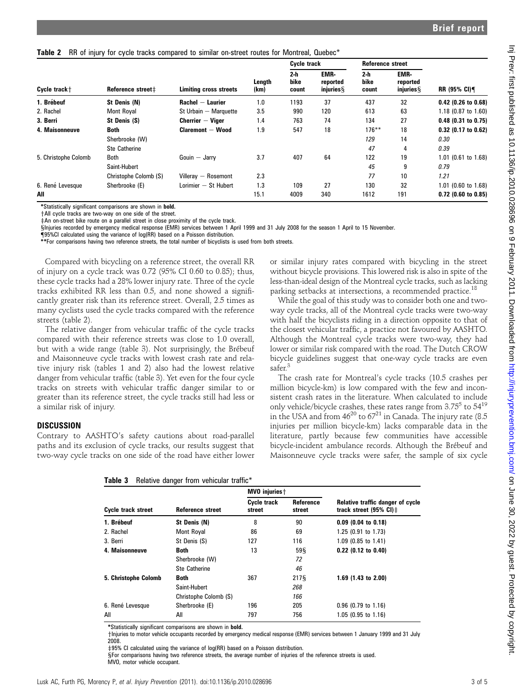### Table 2 RR of injury for cycle tracks compared to similar on-street routes for Montreal, Quebec\*

|                      |                       |                                      |                | Cycle track                                                 |     | Reference street                                            |     |                       |  |
|----------------------|-----------------------|--------------------------------------|----------------|-------------------------------------------------------------|-----|-------------------------------------------------------------|-----|-----------------------|--|
| Cycle track+         | Reference street#     | Limiting cross streets               | Length<br>(km) | 2-h<br><b>EMR-</b><br>bike<br>reported<br>injuries<br>count |     | <b>EMR-</b><br>2-h<br>bike<br>reported<br>injuries<br>count |     | RR (95% CI)¶          |  |
| 1. Brébeuf           | St Denis (N)          | $\mathsf{Rachel} - \mathsf{Laurier}$ | 1.0            | 1193                                                        | 37  | 437                                                         | 32  | $0.42$ (0.26 to 0.68) |  |
| 2. Rachel            | Mont Royal            | St Urbain - Marquette                | 3.5            | 990                                                         | 120 | 613                                                         | 63  | 1.18 (0.87 to 1.60)   |  |
| 3. Berri             | St Denis (S)          | $Cherrier - Viaer$                   | 1.4            | 763                                                         | 74  | 134                                                         | 27  | $0.48$ (0.31 to 0.75) |  |
| 4. Maisonneuve       | <b>Both</b>           | <b>Claremont – Wood</b>              | 1.9            | 547                                                         | 18  | $176***$                                                    | 18  | $0.32$ (0.17 to 0.62) |  |
|                      | Sherbrooke (W)        |                                      |                |                                                             |     | 129                                                         | 14  | 0.30                  |  |
|                      | <b>Ste Catherine</b>  |                                      |                |                                                             |     | 47                                                          | 4   | 0.39                  |  |
| 5. Christophe Colomb | <b>Both</b>           | Gouin $-$ Jarry                      | 3.7            | 407                                                         | 64  | 122                                                         | 19  | 1.01 (0.61 to 1.68)   |  |
|                      | Saint-Hubert          |                                      |                |                                                             |     | 45                                                          | 9   | 0.79                  |  |
|                      | Christophe Colomb (S) | Villeray - Rosemont                  | 2.3            |                                                             |     | 77                                                          | 10  | 1.21                  |  |
| 6. René Levesque     | Sherbrooke (E)        | Lorimier $-$ St Hubert               | 1.3            | 109                                                         | 27  | 130                                                         | 32  | 1.01 (0.60 to 1.68)   |  |
| All                  |                       |                                      | 15.1           | 4009                                                        | 340 | 1612                                                        | 191 | $0.72$ (0.60 to 0.85) |  |

\*Statistically significant comparisons are shown in bold.

+All cycle tracks are two-way on one side of the street.

zAn on-street bike route on a parallel street in close proximity of the cycle track.

xInjuries recorded by emergency medical response (EMR) services between 1 April 1999 and 31 July 2008 for the season 1 April to 15 November.

{95%CI calculated using the variance of log(RR) based on a Poisson distribution.

\*\*For comparisons having two reference streets, the total number of bicyclists is used from both streets.

Compared with bicycling on a reference street, the overall RR of injury on a cycle track was 0.72 (95% CI 0.60 to 0.85); thus, these cycle tracks had a 28% lower injury rate. Three of the cycle tracks exhibited RR less than 0.5, and none showed a significantly greater risk than its reference street. Overall, 2.5 times as many cyclists used the cycle tracks compared with the reference streets (table 2).

The relative danger from vehicular traffic of the cycle tracks compared with their reference streets was close to 1.0 overall, but with a wide range (table 3). Not surprisingly, the Brébeuf and Maisonneuve cycle tracks with lowest crash rate and relative injury risk (tables 1 and 2) also had the lowest relative danger from vehicular traffic (table 3). Yet even for the four cycle tracks on streets with vehicular traffic danger similar to or greater than its reference street, the cycle tracks still had less or a similar risk of injury.

### **DISCUSSION**

Contrary to AASHTO's safety cautions about road-parallel paths and its exclusion of cycle tracks, our results suggest that two-way cycle tracks on one side of the road have either lower or similar injury rates compared with bicycling in the street without bicycle provisions. This lowered risk is also in spite of the less-than-ideal design of the Montreal cycle tracks, such as lacking parking setbacks at intersections, a recommended practice.<sup>18</sup>

While the goal of this study was to consider both one and twoway cycle tracks, all of the Montreal cycle tracks were two-way with half the bicyclists riding in a direction opposite to that of the closest vehicular traffic, a practice not favoured by AASHTO. Although the Montreal cycle tracks were two-way, they had lower or similar risk compared with the road. The Dutch CROW bicycle guidelines suggest that one-way cycle tracks are even safer.<sup>3</sup>

The crash rate for Montreal's cycle tracks (10.5 crashes per million bicycle-km) is low compared with the few and inconsistent crash rates in the literature. When calculated to include only vehicle/bicycle crashes, these rates range from  $3.75^5$  to  $54^{19}$ in the USA and from  $46^{20}$  to  $67^{21}$  in Canada. The injury rate (8.5) injuries per million bicycle-km) lacks comparable data in the literature, partly because few communities have accessible bicycle-incident ambulance records. Although the Brébeuf and Maisonneuve cycle tracks were safer, the sample of six cycle

|                      |                       | MVO injuries +               |                            | Relative traffic danger of cycle<br>track street $(95\% \text{ Cl})\ddagger$ |  |  |
|----------------------|-----------------------|------------------------------|----------------------------|------------------------------------------------------------------------------|--|--|
| Cycle track street   | Reference street      | <b>Cycle track</b><br>street | <b>Reference</b><br>street |                                                                              |  |  |
| 1. Brébeuf           | St Denis (N)          | 8                            | 90                         | $0.09$ (0.04 to 0.18)                                                        |  |  |
| 2. Rachel            | Mont Royal            | 86                           | 69                         | 1.25 (0.91 to 1.73)                                                          |  |  |
| 3. Berri             | St Denis (S)          | 127                          | 116                        | 1.09 (0.85 to 1.41)                                                          |  |  |
| 4. Maisonneuve       | <b>Both</b>           | 13                           | 59 S                       | $0.22$ (0.12 to 0.40)                                                        |  |  |
|                      | Sherbrooke (W)        |                              | 72                         |                                                                              |  |  |
|                      | Ste Catherine         |                              | 46                         |                                                                              |  |  |
| 5. Christophe Colomb | <b>Both</b>           | 367                          | 2175                       | 1.69 (1.43 to 2.00)                                                          |  |  |
|                      | Saint-Hubert          |                              | 268                        |                                                                              |  |  |
|                      | Christophe Colomb (S) |                              | 166                        |                                                                              |  |  |
| 6. René Levesque     | Sherbrooke (E)        | 196                          | 205                        | $0.96$ (0.79 to 1.16)                                                        |  |  |
| All                  | All                   | 797                          | 756                        | 1.05 (0.95 to 1.16)                                                          |  |  |

\*Statistically significant comparisons are shown in bold.

Table 3 Relative danger from vehicular traffic<sup>\*</sup>

yInjuries to motor vehicle occupants recorded by emergency medical response (EMR) services between 1 January 1999 and 31 July 2008.

‡95% CI calculated using the variance of log(RR) based on a Poisson distribution.

xFor comparisons having two reference streets, the average number of injuries of the reference streets is used. MVO, motor vehicle occupant.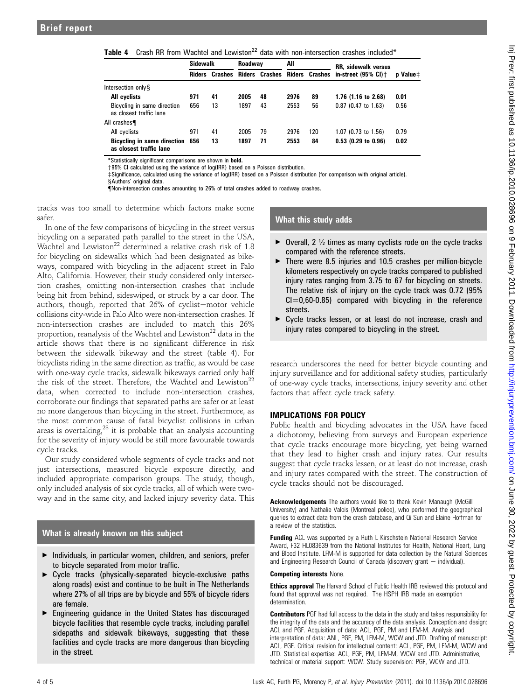**Table 4** Crash RR from Wachtel and Lewiston<sup>22</sup> data with non-intersection crashes included<sup>\*</sup>

|                                                        | <b>Sidewalk</b> |    | Roadwav |    | All  |     | <b>RR, sidewalk versus</b>                                       |                 |
|--------------------------------------------------------|-----------------|----|---------|----|------|-----|------------------------------------------------------------------|-----------------|
|                                                        |                 |    |         |    |      |     | Riders Crashes Riders Crashes Riders Crashes in-street (95% CI)+ | <b>p</b> Value‡ |
| Intersection only S                                    |                 |    |         |    |      |     |                                                                  |                 |
| All cyclists                                           | 971             | 41 | 2005    | 48 | 2976 | 89  | 1.76 (1.16 to 2.68)                                              | 0.01            |
| Bicycling in same direction<br>as closest traffic lane | 656             | 13 | 1897    | 43 | 2553 | 56  | $0.87$ (0.47 to 1.63)                                            | 0.56            |
| All crashes                                            |                 |    |         |    |      |     |                                                                  |                 |
| All cyclists                                           | 971             | 41 | 2005    | 79 | 2976 | 120 | $1.07$ (0.73 to 1.56)                                            | 0.79            |
| Bicycling in same direction<br>as closest traffic lane | 656             | 13 | 1897    | 71 | 2553 | 84  | $0.53$ (0.29 to 0.96)                                            | 0.02            |

\*Statistically significant comparisons are shown in bold.

+95% CI calculated using the variance of log(IRR) based on a Poisson distribution.

zSignificance, calculated using the variance of log(IRR) based on a Poisson distribution (for comparison with original article).

xAuthors' original data.

{Non-intersection crashes amounting to 26% of total crashes added to roadway crashes.

tracks was too small to determine which factors make some safer.

In one of the few comparisons of bicycling in the street versus bicycling on a separated path parallel to the street in the USA, Wachtel and Lewiston<sup>22</sup> determined a relative crash risk of  $1.8$ for bicycling on sidewalks which had been designated as bikeways, compared with bicycling in the adjacent street in Palo Alto, California. However, their study considered only intersection crashes, omitting non-intersection crashes that include being hit from behind, sideswiped, or struck by a car door. The authors, though, reported that  $26\%$  of cyclist-motor vehicle collisions city-wide in Palo Alto were non-intersection crashes. If non-intersection crashes are included to match this 26% proportion, reanalysis of the Wachtel and Lewiston<sup>22</sup> data in the article shows that there is no significant difference in risk between the sidewalk bikeway and the street (table 4). For bicyclists riding in the same direction as traffic, as would be case with one-way cycle tracks, sidewalk bikeways carried only half the risk of the street. Therefore, the Wachtel and Lewiston<sup>22</sup> data, when corrected to include non-intersection crashes, corroborate our findings that separated paths are safer or at least no more dangerous than bicycling in the street. Furthermore, as the most common cause of fatal bicyclist collisions in urban areas is overtaking, $^{23}$  it is probable that an analysis accounting for the severity of injury would be still more favourable towards cycle tracks.

Our study considered whole segments of cycle tracks and not just intersections, measured bicycle exposure directly, and included appropriate comparison groups. The study, though, only included analysis of six cycle tracks, all of which were twoway and in the same city, and lacked injury severity data. This

### What is already known on this subject

- $\blacktriangleright$  Individuals, in particular women, children, and seniors, prefer to bicycle separated from motor traffic.
- < Cycle tracks (physically-separated bicycle-exclusive paths along roads) exist and continue to be built in The Netherlands where 27% of all trips are by bicycle and 55% of bicycle riders are female.
- $\blacktriangleright$  Engineering guidance in the United States has discouraged bicycle facilities that resemble cycle tracks, including parallel sidepaths and sidewalk bikeways, suggesting that these facilities and cycle tracks are more dangerous than bicycling in the street.

## What this study adds

- $\triangleright$  Overall, 2  $\frac{1}{2}$  times as many cyclists rode on the cycle tracks compared with the reference streets.
- $\triangleright$  There were 8.5 injuries and 10.5 crashes per million-bicycle kilometers respectively on cycle tracks compared to published injury rates ranging from 3.75 to 67 for bicycling on streets. The relative risk of injury on the cycle track was 0.72 (95%  $Cl = 0.60 - 0.85$  compared with bicycling in the reference streets.
- ▶ Cycle tracks lessen, or at least do not increase, crash and injury rates compared to bicycling in the street.

research underscores the need for better bicycle counting and injury surveillance and for additional safety studies, particularly of one-way cycle tracks, intersections, injury severity and other factors that affect cycle track safety.

### IMPLICATIONS FOR POLICY

Public health and bicycling advocates in the USA have faced a dichotomy, believing from surveys and European experience that cycle tracks encourage more bicycling, yet being warned that they lead to higher crash and injury rates. Our results suggest that cycle tracks lessen, or at least do not increase, crash and injury rates compared with the street. The construction of cycle tracks should not be discouraged.

Acknowledgements The authors would like to thank Kevin Manaugh (McGill University) and Nathalie Valois (Montreal police), who performed the geographical queries to extract data from the crash database, and Qi Sun and Elaine Hoffman for a review of the statistics.

**Funding** ACL was supported by a Ruth L Kirschstein National Research Service Award, F32 HL083639 from the National Institutes for Health, National Heart, Lung and Blood Institute. LFM-M is supported for data collection by the Natural Sciences and Engineering Research Council of Canada (discovery grant  $-$  individual).

### Competing interests None.

**Ethics approval** The Harvard School of Public Health IRB reviewed this protocol and found that approval was not required. The HSPH IRB made an exemption determination.

Contributors PGF had full access to the data in the study and takes responsibility for the integrity of the data and the accuracy of the data analysis. Conception and design: ACL and PGF. Acquisition of data: ACL, PGF, PM and LFM-M. Analysis and interpretation of data: ANL, PGF, PM, LFM-M, WCW and JTD. Drafting of manuscript: ACL, PGF. Critical revision for intellectual content: ACL, PGF, PM, LFM-M, WCW and JTD. Statistical expertise: ACL, PGF, PM, LFM-M, WCW and JTD. Administrative, technical or material support: WCW. Study supervision: PGF, WCW and JTD.